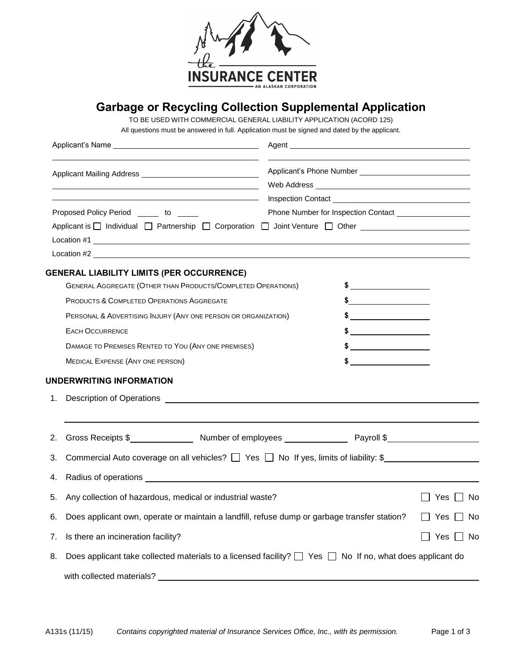

## **Garbage or Recycling Collection Supplemental Application**

TO BE USED WITH COMMERCIAL GENERAL LIABILITY APPLICATION (ACORD 125)

All questions must be answered in full. Application must be signed and dated by the applicant.

|    | <u> 1989 - Johann Barn, amerikansk politiker (</u>                                                                 |  |               |                      |
|----|--------------------------------------------------------------------------------------------------------------------|--|---------------|----------------------|
|    |                                                                                                                    |  |               |                      |
|    | Proposed Policy Period ______ to _____                                                                             |  |               |                      |
|    | Applicant is □ Individual □ Partnership □ Corporation □ Joint Venture □ Other _____________________                |  |               |                      |
|    |                                                                                                                    |  |               |                      |
|    |                                                                                                                    |  |               |                      |
|    | <b>GENERAL LIABILITY LIMITS (PER OCCURRENCE)</b>                                                                   |  |               |                      |
|    | <b>GENERAL AGGREGATE (OTHER THAN PRODUCTS/COMPLETED OPERATIONS)</b>                                                |  |               |                      |
|    | <b>PRODUCTS &amp; COMPLETED OPERATIONS AGGREGATE</b>                                                               |  | \$            |                      |
|    | PERSONAL & ADVERTISING INJURY (ANY ONE PERSON OR ORGANIZATION)                                                     |  |               |                      |
|    | <b>EACH OCCURRENCE</b>                                                                                             |  |               |                      |
|    | DAMAGE TO PREMISES RENTED TO YOU (ANY ONE PREMISES)                                                                |  | $\frac{1}{2}$ |                      |
|    | <b>MEDICAL EXPENSE (ANY ONE PERSON)</b>                                                                            |  |               |                      |
|    | UNDERWRITING INFORMATION                                                                                           |  |               |                      |
| 1. | Description of Operations <b>Constant Constant Constant Constant</b>                                               |  |               |                      |
|    |                                                                                                                    |  |               |                      |
| 2. |                                                                                                                    |  |               |                      |
| 3. | Commercial Auto coverage on all vehicles? $\Box$ Yes $\Box$ No If yes, limits of liability: \$                     |  |               |                      |
|    |                                                                                                                    |  |               |                      |
| 4. |                                                                                                                    |  |               |                      |
| 5. | Any collection of hazardous, medical or industrial waste?                                                          |  |               | Yes ∐ No             |
| 6. | Does applicant own, operate or maintain a landfill, refuse dump or garbage transfer station?                       |  |               | Yes I I No           |
| 7. | Is there an incineration facility?                                                                                 |  |               | $\Box$ Yes $\Box$ No |
| 8. | Does applicant take collected materials to a licensed facility? $\Box$ Yes $\Box$ No If no, what does applicant do |  |               |                      |
|    | with collected materials?                                                                                          |  |               |                      |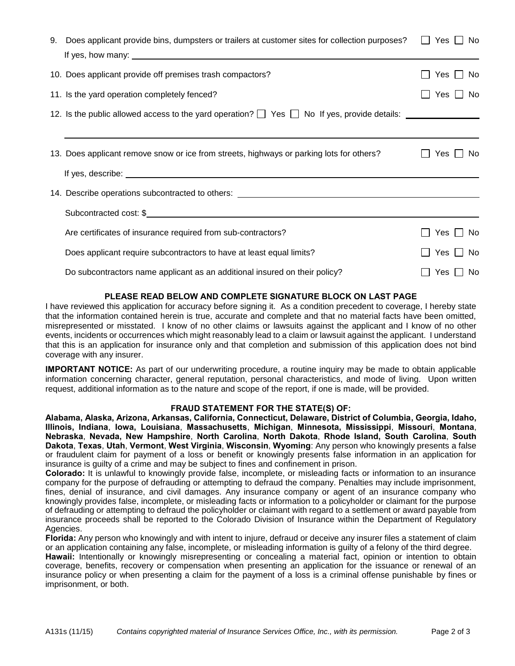| 9. | Does applicant provide bins, dumpsters or trailers at customer sites for collection purposes?                     | Yes $\Box$<br>No.<br>$\mathbf{1}$ |
|----|-------------------------------------------------------------------------------------------------------------------|-----------------------------------|
|    | 10. Does applicant provide off premises trash compactors?                                                         | Yes<br>No.                        |
|    | 11. Is the yard operation completely fenced?                                                                      | Yes<br>No.                        |
|    | 12. Is the public allowed access to the yard operation? $\Box$ Yes $\Box$ No If yes, provide details:             |                                   |
|    |                                                                                                                   |                                   |
|    | 13. Does applicant remove snow or ice from streets, highways or parking lots for others?                          | Yes<br>No.                        |
|    | If yes, describe: <u>contract the contract of the contract of the contract of the contract of the contract of</u> |                                   |
|    | 14. Describe operations subcontracted to others: _______________________________                                  |                                   |
|    |                                                                                                                   |                                   |
|    | Are certificates of insurance required from sub-contractors?                                                      | Yes<br>No.                        |
|    | Does applicant require subcontractors to have at least equal limits?                                              | Yes    <br>No                     |
|    | Do subcontractors name applicant as an additional insured on their policy?                                        | Yes $\Box$<br>No                  |

## **PLEASE READ BELOW AND COMPLETE SIGNATURE BLOCK ON LAST PAGE**

I have reviewed this application for accuracy before signing it. As a condition precedent to coverage, I hereby state that the information contained herein is true, accurate and complete and that no material facts have been omitted, misrepresented or misstated. I know of no other claims or lawsuits against the applicant and I know of no other events, incidents or occurrences which might reasonably lead to a claim or lawsuit against the applicant. I understand that this is an application for insurance only and that completion and submission of this application does not bind coverage with any insurer.

**IMPORTANT NOTICE:** As part of our underwriting procedure, a routine inquiry may be made to obtain applicable information concerning character, general reputation, personal characteristics, and mode of living. Upon written request, additional information as to the nature and scope of the report, if one is made, will be provided.

## **FRAUD STATEMENT FOR THE STATE(S) OF:**

**Alabama, Alaska, Arizona, Arkansas, California, Connecticut, Delaware, District of Columbia, Georgia, Idaho, Illinois, Indiana**, **Iowa, Louisiana**, **Massachusetts**, **Michigan**, **Minnesota, Mississippi**, **Missouri**, **Montana**, **Nebraska**, **Nevada, New Hampshire**, **North Carolina**, **North Dakota**, **Rhode Island, South Carolina**, **South Dakota**, **Texas**, **Utah**, **Vermont**, **West Virginia**, **Wisconsin**, **Wyoming**: Any person who knowingly presents a false or fraudulent claim for payment of a loss or benefit or knowingly presents false information in an application for insurance is guilty of a crime and may be subject to fines and confinement in prison.

**Colorado:** It is unlawful to knowingly provide false, incomplete, or misleading facts or information to an insurance company for the purpose of defrauding or attempting to defraud the company. Penalties may include imprisonment, fines, denial of insurance, and civil damages. Any insurance company or agent of an insurance company who knowingly provides false, incomplete, or misleading facts or information to a policyholder or claimant for the purpose of defrauding or attempting to defraud the policyholder or claimant with regard to a settlement or award payable from insurance proceeds shall be reported to the Colorado Division of Insurance within the Department of Regulatory Agencies.

**Florida:** Any person who knowingly and with intent to injure, defraud or deceive any insurer files a statement of claim or an application containing any false, incomplete, or misleading information is guilty of a felony of the third degree.

**Hawaii:** Intentionally or knowingly misrepresenting or concealing a material fact, opinion or intention to obtain coverage, benefits, recovery or compensation when presenting an application for the issuance or renewal of an insurance policy or when presenting a claim for the payment of a loss is a criminal offense punishable by fines or imprisonment, or both.